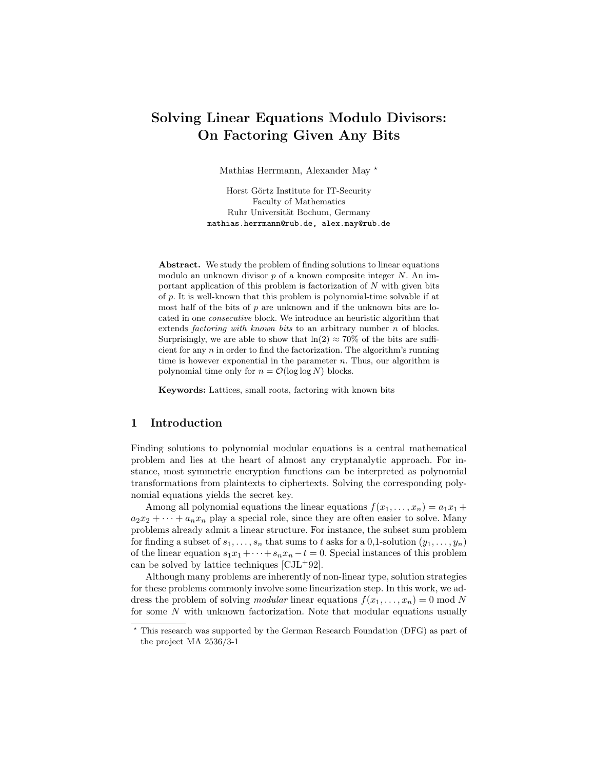# Solving Linear Equations Modulo Divisors: On Factoring Given Any Bits

Mathias Herrmann, Alexander May ?

Horst Görtz Institute for IT-Security Faculty of Mathematics Ruhr Universität Bochum, Germany mathias.herrmann@rub.de, alex.may@rub.de

Abstract. We study the problem of finding solutions to linear equations modulo an unknown divisor  $p$  of a known composite integer  $N$ . An important application of this problem is factorization of  $N$  with given bits of p. It is well-known that this problem is polynomial-time solvable if at most half of the bits of  $p$  are unknown and if the unknown bits are located in one consecutive block. We introduce an heuristic algorithm that extends *factoring with known bits* to an arbitrary number  $n$  of blocks. Surprisingly, we are able to show that  $ln(2) \approx 70\%$  of the bits are sufficient for any  $n$  in order to find the factorization. The algorithm's running time is however exponential in the parameter  $n$ . Thus, our algorithm is polynomial time only for  $n = \mathcal{O}(\log \log N)$  blocks.

Keywords: Lattices, small roots, factoring with known bits

## 1 Introduction

Finding solutions to polynomial modular equations is a central mathematical problem and lies at the heart of almost any cryptanalytic approach. For instance, most symmetric encryption functions can be interpreted as polynomial transformations from plaintexts to ciphertexts. Solving the corresponding polynomial equations yields the secret key.

Among all polynomial equations the linear equations  $f(x_1, \ldots, x_n) = a_1x_1 +$  $a_2x_2 + \cdots + a_nx_n$  play a special role, since they are often easier to solve. Many problems already admit a linear structure. For instance, the subset sum problem for finding a subset of  $s_1, \ldots, s_n$  that sums to t asks for a 0,1-solution  $(y_1, \ldots, y_n)$ of the linear equation  $s_1x_1 + \cdots + s_nx_n - t = 0$ . Special instances of this problem can be solved by lattice techniques [CJL<sup>+</sup>92].

Although many problems are inherently of non-linear type, solution strategies for these problems commonly involve some linearization step. In this work, we address the problem of solving *modular* linear equations  $f(x_1, \ldots, x_n) = 0 \text{ mod } N$ for some  $N$  with unknown factorization. Note that modular equations usually

<sup>?</sup> This research was supported by the German Research Foundation (DFG) as part of the project MA 2536/3-1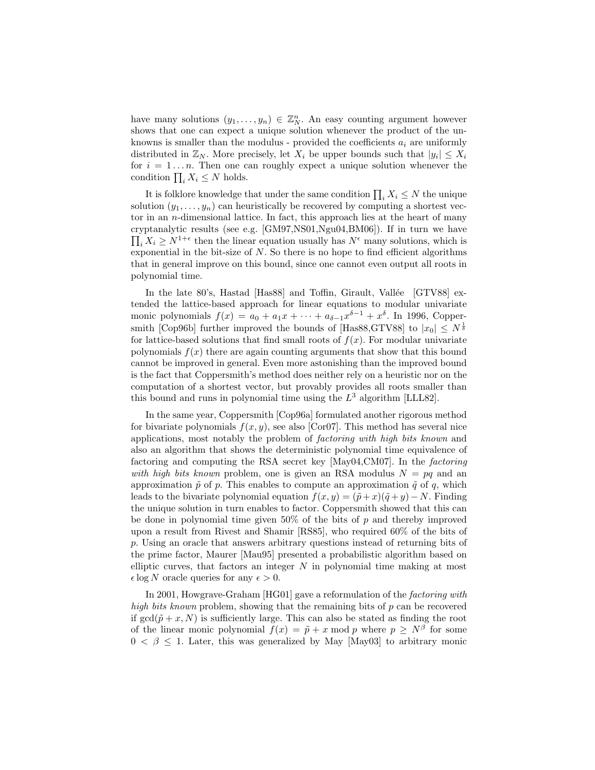have many solutions  $(y_1, \ldots, y_n) \in \mathbb{Z}_N^n$ . An easy counting argument however shows that one can expect a unique solution whenever the product of the unknowns is smaller than the modulus - provided the coefficients  $a_i$  are uniformly distributed in  $\mathbb{Z}_N$ . More precisely, let  $X_i$  be upper bounds such that  $|y_i| \leq X_i$ for  $i = 1...n$ . Then one can roughly expect a unique solution whenever the condition  $\prod_i X_i \leq N$  holds.

It is folklore knowledge that under the same condition  $\prod_i X_i \leq N$  the unique solution  $(y_1, \ldots, y_n)$  can heuristically be recovered by computing a shortest vector in an n-dimensional lattice. In fact, this approach lies at the heart of many cryptanalytic results (see e.g. [GM97,NS01,Ngu04,BM06]). If in turn we have  $\prod_i X_i \geq N^{1+\epsilon}$  then the linear equation usually has  $N^{\epsilon}$  many solutions, which is exponential in the bit-size of  $N$ . So there is no hope to find efficient algorithms that in general improve on this bound, since one cannot even output all roots in polynomial time.

In the late 80's, Hastad [Has88] and Toffin, Girault, Vallée [GTV88] extended the lattice-based approach for linear equations to modular univariate monic polynomials  $f(x) = a_0 + a_1x + \cdots + a_{\delta-1}x^{\delta-1} + x^{\delta}$ . In 1996, Coppersmith [Cop96b] further improved the bounds of [Has88,GTV88] to  $|x_0| \leq N^{\frac{1}{\delta}}$ for lattice-based solutions that find small roots of  $f(x)$ . For modular univariate polynomials  $f(x)$  there are again counting arguments that show that this bound cannot be improved in general. Even more astonishing than the improved bound is the fact that Coppersmith's method does neither rely on a heuristic nor on the computation of a shortest vector, but provably provides all roots smaller than this bound and runs in polynomial time using the  $L^3$  algorithm [LLL82].

In the same year, Coppersmith [Cop96a] formulated another rigorous method for bivariate polynomials  $f(x, y)$ , see also [Cor07]. This method has several nice applications, most notably the problem of factoring with high bits known and also an algorithm that shows the deterministic polynomial time equivalence of factoring and computing the RSA secret key [May04,CM07]. In the factoring with high bits known problem, one is given an RSA modulus  $N = pq$  and an approximation  $\tilde{p}$  of p. This enables to compute an approximation  $\tilde{q}$  of q, which leads to the bivariate polynomial equation  $f(x, y) = (\tilde{p} + x)(\tilde{q} + y) - N$ . Finding the unique solution in turn enables to factor. Coppersmith showed that this can be done in polynomial time given  $50\%$  of the bits of p and thereby improved upon a result from Rivest and Shamir [RS85], who required 60% of the bits of p. Using an oracle that answers arbitrary questions instead of returning bits of the prime factor, Maurer [Mau95] presented a probabilistic algorithm based on elliptic curves, that factors an integer  $N$  in polynomial time making at most  $\epsilon \log N$  oracle queries for any  $\epsilon > 0$ .

In 2001, Howgrave-Graham [HG01] gave a reformulation of the factoring with high bits known problem, showing that the remaining bits of  $p$  can be recovered if  $gcd(\tilde{p} + x, N)$  is sufficiently large. This can also be stated as finding the root of the linear monic polynomial  $f(x) = \tilde{p} + x \mod p$  where  $p \geq N^{\beta}$  for some  $0 < \beta \leq 1$ . Later, this was generalized by May [May03] to arbitrary monic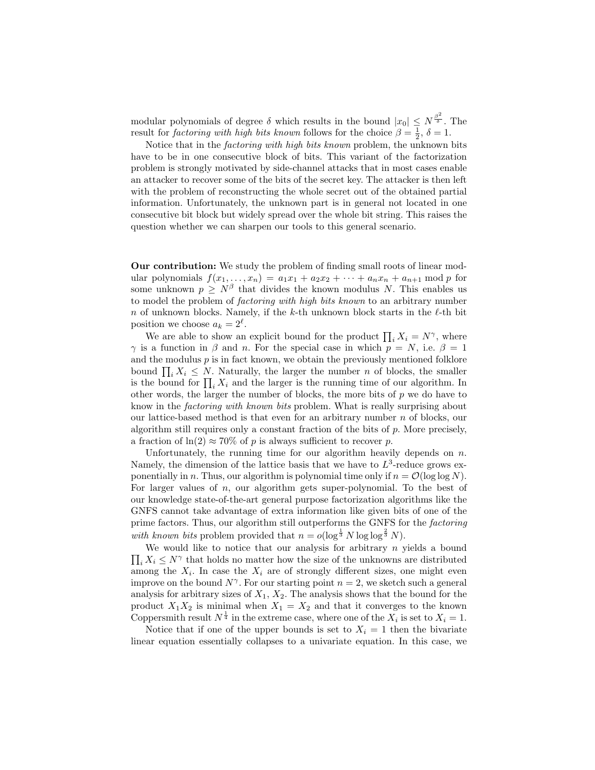modular polynomials of degree  $\delta$  which results in the bound  $|x_0| \leq N^{\frac{\beta^2}{\delta}}$ . The result for *factoring with high bits known* follows for the choice  $\beta = \frac{1}{2}$ ,  $\delta = 1$ .

Notice that in the factoring with high bits known problem, the unknown bits have to be in one consecutive block of bits. This variant of the factorization problem is strongly motivated by side-channel attacks that in most cases enable an attacker to recover some of the bits of the secret key. The attacker is then left with the problem of reconstructing the whole secret out of the obtained partial information. Unfortunately, the unknown part is in general not located in one consecutive bit block but widely spread over the whole bit string. This raises the question whether we can sharpen our tools to this general scenario.

Our contribution: We study the problem of finding small roots of linear modular polynomials  $f(x_1, ..., x_n) = a_1x_1 + a_2x_2 + ... + a_nx_n + a_{n+1} \mod p$  for some unknown  $p \geq N^{\beta}$  that divides the known modulus N. This enables us to model the problem of factoring with high bits known to an arbitrary number n of unknown blocks. Namely, if the k-th unknown block starts in the  $\ell$ -th bit position we choose  $a_k = 2^{\ell}$ .

We are able to show an explicit bound for the product  $\prod_i X_i = N^{\gamma}$ , where  $\gamma$  is a function in  $\beta$  and n. For the special case in which  $p = N$ , i.e.  $\beta = 1$ and the modulus  $p$  is in fact known, we obtain the previously mentioned folklore bound  $\prod_i X_i \leq N$ . Naturally, the larger the number n of blocks, the smaller is the bound for  $\prod_i X_i$  and the larger is the running time of our algorithm. In other words, the larger the number of blocks, the more bits of  $p$  we do have to know in the factoring with known bits problem. What is really surprising about our lattice-based method is that even for an arbitrary number n of blocks, our algorithm still requires only a constant fraction of the bits of p. More precisely, a fraction of  $ln(2) \approx 70\%$  of p is always sufficient to recover p.

Unfortunately, the running time for our algorithm heavily depends on  $n$ . Namely, the dimension of the lattice basis that we have to  $L^3$ -reduce grows exponentially in n. Thus, our algorithm is polynomial time only if  $n = \mathcal{O}(\log \log N)$ . For larger values of n, our algorithm gets super-polynomial. To the best of our knowledge state-of-the-art general purpose factorization algorithms like the GNFS cannot take advantage of extra information like given bits of one of the prime factors. Thus, our algorithm still outperforms the GNFS for the factoring with known bits problem provided that  $n = o(\log^{\frac{1}{3}} N \log \log^{\frac{2}{3}} N)$ .

 $\prod_i X_i \leq N^{\gamma}$  that holds no matter how the size of the unknowns are distributed We would like to notice that our analysis for arbitrary  $n$  yields a bound among the  $X_i$ . In case the  $X_i$  are of strongly different sizes, one might even improve on the bound  $N^{\gamma}$ . For our starting point  $n = 2$ , we sketch such a general analysis for arbitrary sizes of  $X_1, X_2$ . The analysis shows that the bound for the product  $X_1X_2$  is minimal when  $X_1 = X_2$  and that it converges to the known Coppersmith result  $N^{\frac{1}{4}}$  in the extreme case, where one of the  $X_i$  is set to  $X_i = 1$ .

Notice that if one of the upper bounds is set to  $X_i = 1$  then the bivariate linear equation essentially collapses to a univariate equation. In this case, we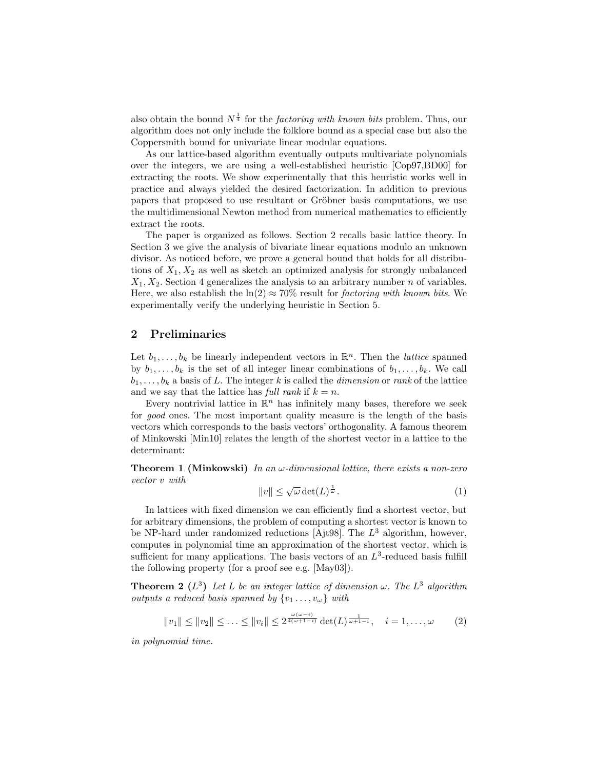also obtain the bound  $N^{\frac{1}{4}}$  for the *factoring with known bits* problem. Thus, our algorithm does not only include the folklore bound as a special case but also the Coppersmith bound for univariate linear modular equations.

As our lattice-based algorithm eventually outputs multivariate polynomials over the integers, we are using a well-established heuristic [Cop97,BD00] for extracting the roots. We show experimentally that this heuristic works well in practice and always yielded the desired factorization. In addition to previous papers that proposed to use resultant or Gröbner basis computations, we use the multidimensional Newton method from numerical mathematics to efficiently extract the roots.

The paper is organized as follows. Section 2 recalls basic lattice theory. In Section 3 we give the analysis of bivariate linear equations modulo an unknown divisor. As noticed before, we prove a general bound that holds for all distributions of  $X_1, X_2$  as well as sketch an optimized analysis for strongly unbalanced  $X_1, X_2$ . Section 4 generalizes the analysis to an arbitrary number *n* of variables. Here, we also establish the  $ln(2) \approx 70\%$  result for *factoring with known bits*. We experimentally verify the underlying heuristic in Section 5.

### 2 Preliminaries

Let  $b_1, \ldots, b_k$  be linearly independent vectors in  $\mathbb{R}^n$ . Then the *lattice* spanned by  $b_1, \ldots, b_k$  is the set of all integer linear combinations of  $b_1, \ldots, b_k$ . We call  $b_1, \ldots, b_k$  a basis of L. The integer k is called the *dimension* or rank of the lattice and we say that the lattice has full rank if  $k = n$ .

Every nontrivial lattice in  $\mathbb{R}^n$  has infinitely many bases, therefore we seek for good ones. The most important quality measure is the length of the basis vectors which corresponds to the basis vectors' orthogonality. A famous theorem of Minkowski [Min10] relates the length of the shortest vector in a lattice to the determinant:

**Theorem 1 (Minkowski)** In an  $\omega$ -dimensional lattice, there exists a non-zero vector v with

$$
||v|| \le \sqrt{\omega} \det(L)^{\frac{1}{\omega}}.
$$
 (1)

In lattices with fixed dimension we can efficiently find a shortest vector, but for arbitrary dimensions, the problem of computing a shortest vector is known to be NP-hard under randomized reductions [Ajt98]. The  $L^3$  algorithm, however, computes in polynomial time an approximation of the shortest vector, which is sufficient for many applications. The basis vectors of an  $L^3$ -reduced basis fulfill the following property (for a proof see e.g. [May03]).

**Theorem 2** ( $L^3$ ) Let L be an integer lattice of dimension  $\omega$ . The  $L^3$  algorithm outputs a reduced basis spanned by  $\{v_1, \ldots, v_\omega\}$  with

$$
||v_1|| \le ||v_2|| \le \ldots \le ||v_i|| \le 2^{\frac{\omega(\omega - i)}{4(\omega + 1 - i)}} \det(L)^{\frac{1}{\omega + 1 - i}}, \quad i = 1, \ldots, \omega \qquad (2)
$$

in polynomial time.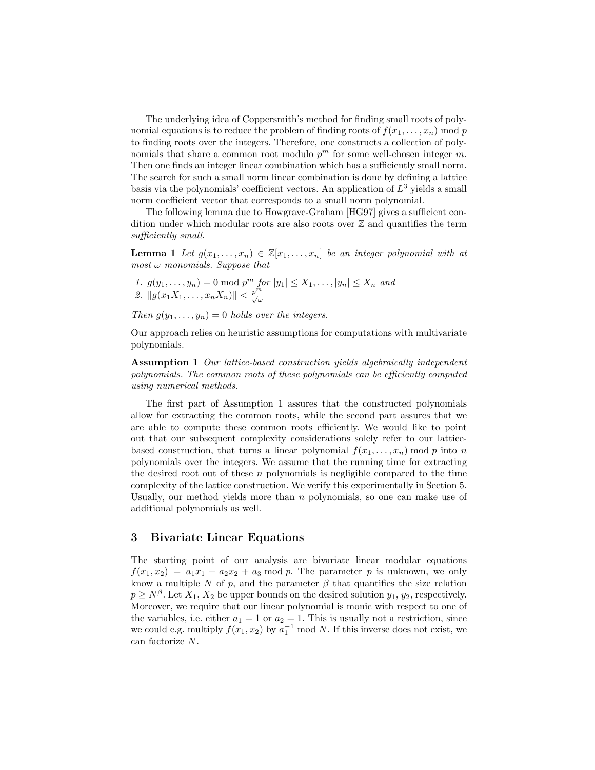The underlying idea of Coppersmith's method for finding small roots of polynomial equations is to reduce the problem of finding roots of  $f(x_1, \ldots, x_n)$  mod p to finding roots over the integers. Therefore, one constructs a collection of polynomials that share a common root modulo  $p^m$  for some well-chosen integer m. Then one finds an integer linear combination which has a sufficiently small norm. The search for such a small norm linear combination is done by defining a lattice basis via the polynomials' coefficient vectors. An application of  $L^3$  yields a small norm coefficient vector that corresponds to a small norm polynomial.

The following lemma due to Howgrave-Graham [HG97] gives a sufficient condition under which modular roots are also roots over  $\mathbb Z$  and quantifies the term sufficiently small.

**Lemma 1** Let  $g(x_1, \ldots, x_n) \in \mathbb{Z}[x_1, \ldots, x_n]$  be an integer polynomial with at most  $\omega$  monomials. Suppose that

1.  $g(y_1,..., y_n) = 0 \text{ mod } p^m$  for  $|y_1| \leq X_1,..., |y_n| \leq X_n$  and 2.  $||g(x_1X_1, \ldots, x_nX_n)|| < \frac{p^m}{\sqrt{\omega}}$ 

Then  $g(y_1, \ldots, y_n) = 0$  holds over the integers.

Our approach relies on heuristic assumptions for computations with multivariate polynomials.

Assumption 1 Our lattice-based construction yields algebraically independent polynomials. The common roots of these polynomials can be efficiently computed using numerical methods.

The first part of Assumption 1 assures that the constructed polynomials allow for extracting the common roots, while the second part assures that we are able to compute these common roots efficiently. We would like to point out that our subsequent complexity considerations solely refer to our latticebased construction, that turns a linear polynomial  $f(x_1, \ldots, x_n)$  mod p into n polynomials over the integers. We assume that the running time for extracting the desired root out of these  $n$  polynomials is negligible compared to the time complexity of the lattice construction. We verify this experimentally in Section 5. Usually, our method yields more than  $n$  polynomials, so one can make use of additional polynomials as well.

## 3 Bivariate Linear Equations

The starting point of our analysis are bivariate linear modular equations  $f(x_1, x_2) = a_1x_1 + a_2x_2 + a_3$  mod p. The parameter p is unknown, we only know a multiple N of p, and the parameter  $\beta$  that quantifies the size relation  $p \geq N^{\beta}$ . Let  $X_1, X_2$  be upper bounds on the desired solution  $y_1, y_2$ , respectively. Moreover, we require that our linear polynomial is monic with respect to one of the variables, i.e. either  $a_1 = 1$  or  $a_2 = 1$ . This is usually not a restriction, since we could e.g. multiply  $f(x_1, x_2)$  by  $a_1^{-1}$  mod N. If this inverse does not exist, we can factorize N.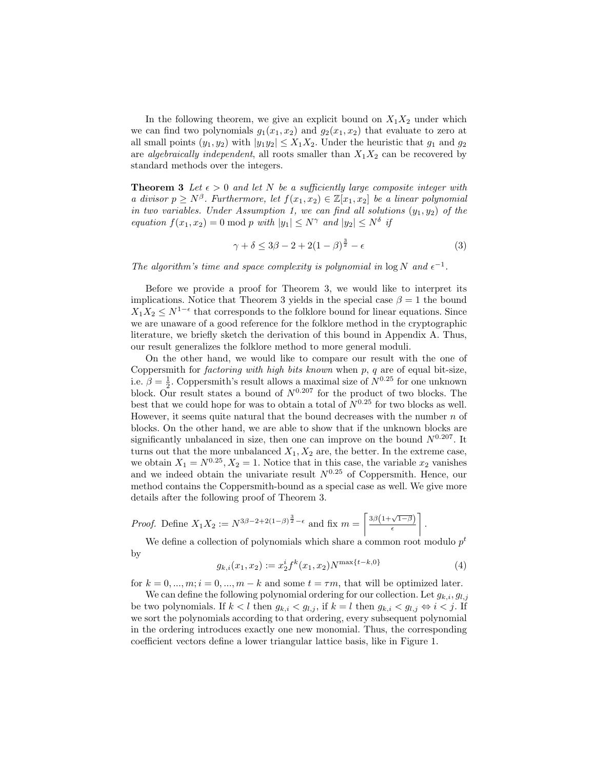In the following theorem, we give an explicit bound on  $X_1X_2$  under which we can find two polynomials  $g_1(x_1, x_2)$  and  $g_2(x_1, x_2)$  that evaluate to zero at all small points  $(y_1, y_2)$  with  $|y_1 y_2| \leq X_1 X_2$ . Under the heuristic that  $g_1$  and  $g_2$ are algebraically independent, all roots smaller than  $X_1X_2$  can be recovered by standard methods over the integers.

**Theorem 3** Let  $\epsilon > 0$  and let N be a sufficiently large composite integer with a divisor  $p \geq N^{\beta}$ . Furthermore, let  $f(x_1, x_2) \in \mathbb{Z}[x_1, x_2]$  be a linear polynomial in two variables. Under Assumption 1, we can find all solutions  $(y_1, y_2)$  of the equation  $f(x_1, x_2) = 0 \text{ mod } p$  with  $|y_1| \le N^{\gamma}$  and  $|y_2| \le N^{\delta}$  if

$$
\gamma + \delta \le 3\beta - 2 + 2(1 - \beta)^{\frac{3}{2}} - \epsilon \tag{3}
$$

The algorithm's time and space complexity is polynomial in  $\log N$  and  $\epsilon^{-1}$ .

Before we provide a proof for Theorem 3, we would like to interpret its implications. Notice that Theorem 3 yields in the special case  $\beta = 1$  the bound  $X_1X_2 \leq N^{1-\epsilon}$  that corresponds to the folklore bound for linear equations. Since we are unaware of a good reference for the folklore method in the cryptographic literature, we briefly sketch the derivation of this bound in Appendix A. Thus, our result generalizes the folklore method to more general moduli.

On the other hand, we would like to compare our result with the one of Coppersmith for *factoring with high bits known* when  $p$ ,  $q$  are of equal bit-size, i.e.  $\beta = \frac{1}{2}$ . Coppersmith's result allows a maximal size of  $N^{0.25}$  for one unknown block. Our result states a bound of  $N^{0.207}$  for the product of two blocks. The best that we could hope for was to obtain a total of  $N^{0.25}$  for two blocks as well. However, it seems quite natural that the bound decreases with the number  $n$  of blocks. On the other hand, we are able to show that if the unknown blocks are significantly unbalanced in size, then one can improve on the bound  $N^{0.207}$ . It turns out that the more unbalanced  $X_1, X_2$  are, the better. In the extreme case, we obtain  $X_1 = N^{0.25}$ ,  $X_2 = 1$ . Notice that in this case, the variable  $x_2$  vanishes and we indeed obtain the univariate result  $N^{0.25}$  of Coppersmith. Hence, our method contains the Coppersmith-bound as a special case as well. We give more details after the following proof of Theorem 3.

*Proof.* Define 
$$
X_1 X_2 := N^{3\beta - 2 + 2(1-\beta)^{\frac{3}{2}} - \epsilon}
$$
 and fix  $m = \left\lceil \frac{3\beta \left(1 + \sqrt{1-\beta}\right)}{\epsilon} \right\rceil$ .

We define a collection of polynomials which share a common root modulo  $p<sup>t</sup>$ by

$$
g_{k,i}(x_1, x_2) := x_2^i f^k(x_1, x_2) N^{\max\{t - k, 0\}} \tag{4}
$$

for  $k = 0, ..., m; i = 0, ..., m - k$  and some  $t = \tau m$ , that will be optimized later.

We can define the following polynomial ordering for our collection. Let  $g_{k,i}, g_{l,j}$ be two polynomials. If  $k < l$  then  $g_{k,i} < g_{l,j}$ , if  $k = l$  then  $g_{k,i} < g_{l,j} \Leftrightarrow i < j$ . If we sort the polynomials according to that ordering, every subsequent polynomial in the ordering introduces exactly one new monomial. Thus, the corresponding coefficient vectors define a lower triangular lattice basis, like in Figure 1.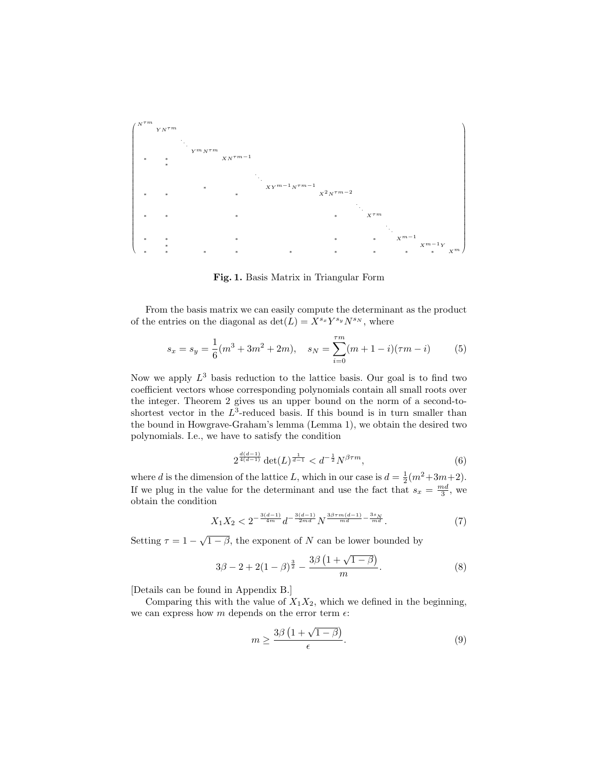

Fig. 1. Basis Matrix in Triangular Form

From the basis matrix we can easily compute the determinant as the product of the entries on the diagonal as  $\det(L) = X^{s_x} Y^{s_y} N^{s_N}$ , where

$$
s_x = s_y = \frac{1}{6}(m^3 + 3m^2 + 2m), \quad s_N = \sum_{i=0}^{\tau m} (m + 1 - i)(\tau m - i) \tag{5}
$$

Now we apply  $L^3$  basis reduction to the lattice basis. Our goal is to find two coefficient vectors whose corresponding polynomials contain all small roots over the integer. Theorem 2 gives us an upper bound on the norm of a second-toshortest vector in the  $L^3$ -reduced basis. If this bound is in turn smaller than the bound in Howgrave-Graham's lemma (Lemma 1), we obtain the desired two polynomials. I.e., we have to satisfy the condition

$$
2^{\frac{d(d-1)}{4(d-1)}} \det(L)^{\frac{1}{d-1}} < d^{-\frac{1}{2}} N^{\beta \tau m}, \tag{6}
$$

where d is the dimension of the lattice L, which in our case is  $d = \frac{1}{2}(m^2 + 3m + 2)$ . If we plug in the value for the determinant and use the fact that  $s_x = \frac{md}{3}$ , we obtain the condition

$$
X_1 X_2 < 2^{-\frac{3(d-1)}{4m}} d^{-\frac{3(d-1)}{2md}} N^{\frac{3\beta \tau m(d-1)}{md} - \frac{3s_N}{md}}.
$$
 (7)

Setting  $\tau = 1 - \sqrt{1 - \beta}$ , the exponent of N can be lower bounded by

$$
3\beta - 2 + 2(1 - \beta)^{\frac{3}{2}} - \frac{3\beta(1 + \sqrt{1 - \beta})}{m}.
$$
 (8)

[Details can be found in Appendix B.]

Comparing this with the value of  $X_1X_2$ , which we defined in the beginning, we can express how m depends on the error term  $\epsilon$ :

$$
m \ge \frac{3\beta \left(1 + \sqrt{1 - \beta}\right)}{\epsilon}.\tag{9}
$$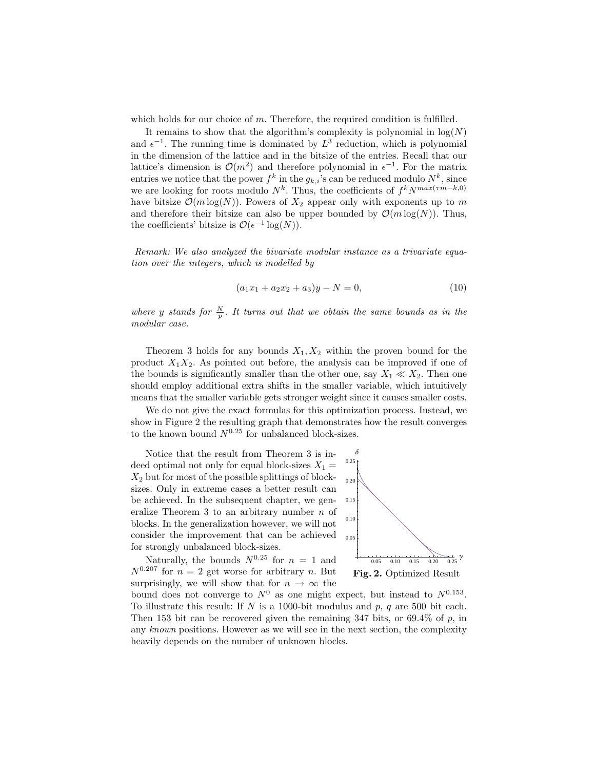which holds for our choice of  $m$ . Therefore, the required condition is fulfilled.

It remains to show that the algorithm's complexity is polynomial in  $log(N)$ and  $\epsilon^{-1}$ . The running time is dominated by  $L^3$  reduction, which is polynomial in the dimension of the lattice and in the bitsize of the entries. Recall that our lattice's dimension is  $\mathcal{O}(m^2)$  and therefore polynomial in  $\epsilon^{-1}$ . For the matrix entries we notice that the power  $f^k$  in the  $g_{k,i}$ 's can be reduced modulo  $N^k$ , since we are looking for roots modulo  $N^k$ . Thus, the coefficients of  $f^k N^{max(\tau m-k,0)}$ have bitsize  $\mathcal{O}(m \log(N))$ . Powers of  $X_2$  appear only with exponents up to m and therefore their bitsize can also be upper bounded by  $\mathcal{O}(m \log(N))$ . Thus, the coefficients' bitsize is  $\mathcal{O}(\epsilon^{-1} \log(N)).$ 

Remark: We also analyzed the bivariate modular instance as a trivariate equation over the integers, which is modelled by

$$
(a_1x_1 + a_2x_2 + a_3)y - N = 0,
$$
\n(10)

where y stands for  $\frac{N}{p}$ . It turns out that we obtain the same bounds as in the modular case.

Theorem 3 holds for any bounds  $X_1, X_2$  within the proven bound for the product  $X_1X_2$ . As pointed out before, the analysis can be improved if one of the bounds is significantly smaller than the other one, say  $X_1 \ll X_2$ . Then one should employ additional extra shifts in the smaller variable, which intuitively means that the smaller variable gets stronger weight since it causes smaller costs.

We do not give the exact formulas for this optimization process. Instead, we show in Figure 2 the resulting graph that demonstrates how the result converges to the known bound  $N^{0.25}$  for unbalanced block-sizes.

Notice that the result from Theorem 3 is indeed optimal not only for equal block-sizes  $X_1 =$  $X_2$  but for most of the possible splittings of blocksizes. Only in extreme cases a better result can be achieved. In the subsequent chapter, we generalize Theorem 3 to an arbitrary number n of blocks. In the generalization however, we will not consider the improvement that can be achieved for strongly unbalanced block-sizes.

Naturally, the bounds  $N^{0.25}$  for  $n = 1$  and  $N^{0.207}$  for  $n = 2$  get worse for arbitrary n. But surprisingly, we will show that for  $n \to \infty$  the



bound does not converge to  $N^0$  as one might expect, but instead to  $N^{0.153}$ . To illustrate this result: If N is a 1000-bit modulus and  $p$ ,  $q$  are 500 bit each. Then 153 bit can be recovered given the remaining  $347$  bits, or  $69.4\%$  of p, in any known positions. However as we will see in the next section, the complexity heavily depends on the number of unknown blocks.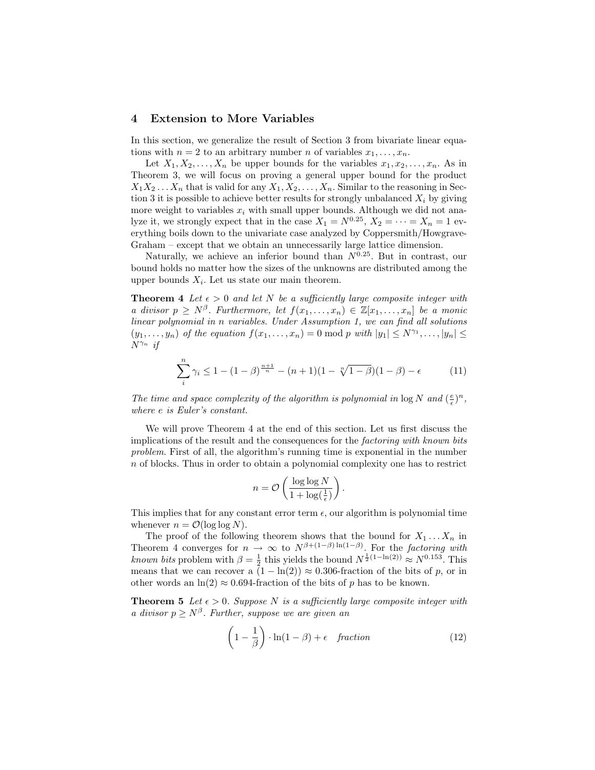#### 4 Extension to More Variables

In this section, we generalize the result of Section 3 from bivariate linear equations with  $n = 2$  to an arbitrary number n of variables  $x_1, \ldots, x_n$ .

Let  $X_1, X_2, \ldots, X_n$  be upper bounds for the variables  $x_1, x_2, \ldots, x_n$ . As in Theorem 3, we will focus on proving a general upper bound for the product  $X_1X_2 \ldots X_n$  that is valid for any  $X_1, X_2, \ldots, X_n$ . Similar to the reasoning in Section 3 it is possible to achieve better results for strongly unbalanced  $X_i$  by giving more weight to variables  $x_i$  with small upper bounds. Although we did not analyze it, we strongly expect that in the case  $X_1 = N^{0.25}$ ,  $X_2 = \cdots = X_n = 1$  everything boils down to the univariate case analyzed by Coppersmith/Howgrave-Graham – except that we obtain an unnecessarily large lattice dimension.

Naturally, we achieve an inferior bound than  $N^{\widetilde{0}.25}$ . But in contrast, our bound holds no matter how the sizes of the unknowns are distributed among the upper bounds  $X_i$ . Let us state our main theorem.

**Theorem 4** Let  $\epsilon > 0$  and let N be a sufficiently large composite integer with a divisor  $p \geq N^{\beta}$ . Furthermore, let  $f(x_1, \ldots, x_n) \in \mathbb{Z}[x_1, \ldots, x_n]$  be a monic linear polynomial in n variables. Under Assumption 1, we can find all solutions  $(y_1, \ldots, y_n)$  of the equation  $f(x_1, \ldots, x_n) = 0 \text{ mod } p$  with  $|y_1| \leq N^{\gamma_1}, \ldots, |y_n| \leq$  $N^{\gamma_n}$  if

$$
\sum_{i}^{n} \gamma_i \le 1 - (1 - \beta)^{\frac{n+1}{n}} - (n+1)(1 - \sqrt[n]{1 - \beta})(1 - \beta) - \epsilon \tag{11}
$$

The time and space complexity of the algorithm is polynomial in  $\log N$  and  $(\frac{e}{\epsilon})^n$ , where e is Euler's constant.

We will prove Theorem 4 at the end of this section. Let us first discuss the implications of the result and the consequences for the factoring with known bits problem. First of all, the algorithm's running time is exponential in the number n of blocks. Thus in order to obtain a polynomial complexity one has to restrict

$$
n = \mathcal{O}\left(\frac{\log \log N}{1 + \log(\frac{1}{\epsilon})}\right).
$$

This implies that for any constant error term  $\epsilon$ , our algorithm is polynomial time whenever  $n = \mathcal{O}(\log \log N)$ .

The proof of the following theorem shows that the bound for  $X_1 \ldots X_n$  in Theorem 4 converges for  $n \to \infty$  to  $N^{\beta + (1-\beta)\ln(1-\beta)}$ . For the factoring with known bits problem with  $\beta = \frac{1}{2}$  this yields the bound  $N^{\frac{1}{2}(1-\ln(2))} \approx N^{0.153}$ . This means that we can recover a  $(1 - \ln(2)) \approx 0.306$ -fraction of the bits of p, or in other words an  $\ln(2) \approx 0.694$ -fraction of the bits of p has to be known.

**Theorem 5** Let  $\epsilon > 0$ . Suppose N is a sufficiently large composite integer with a divisor  $p \geq N^{\beta}$ . Further, suppose we are given an

$$
\left(1 - \frac{1}{\beta}\right) \cdot \ln(1 - \beta) + \epsilon \quad fraction \tag{12}
$$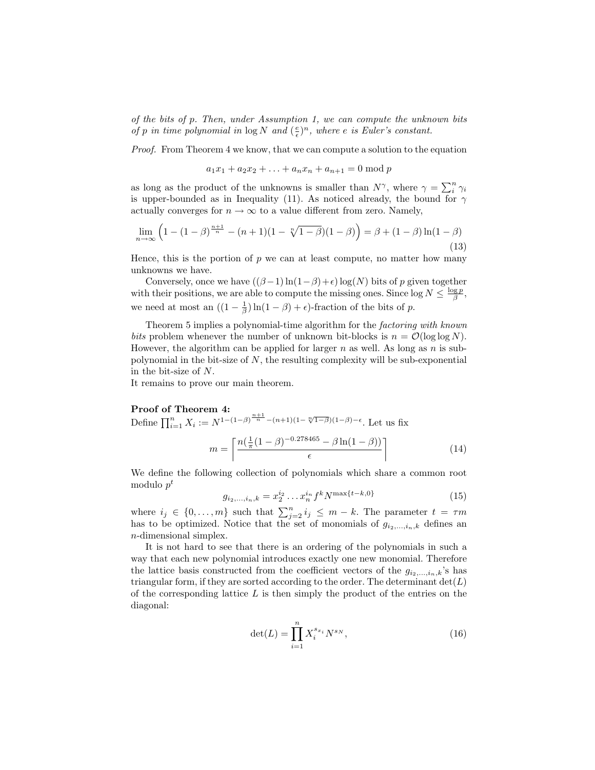of the bits of p. Then, under Assumption 1, we can compute the unknown bits of p in time polynomial in  $\log N$  and  $(\frac{e}{\epsilon})^n$ , where e is Euler's constant.

Proof. From Theorem 4 we know, that we can compute a solution to the equation

 $a_1x_1 + a_2x_2 + \ldots + a_nx_n + a_{n+1} = 0 \bmod p$ 

as long as the product of the unknowns is smaller than  $N^{\gamma}$ , where  $\gamma = \sum_{i}^{n} \gamma_i$ is upper-bounded as in Inequality (11). As noticed already, the bound for  $\gamma$ actually converges for  $n \to \infty$  to a value different from zero. Namely,

$$
\lim_{n \to \infty} \left( 1 - (1 - \beta)^{\frac{n+1}{n}} - (n+1)(1 - \sqrt[n]{1 - \beta})(1 - \beta) \right) = \beta + (1 - \beta) \ln(1 - \beta)
$$
\n(13)

Hence, this is the portion of  $p$  we can at least compute, no matter how many unknowns we have.

Conversely, once we have  $((\beta-1)\ln(1-\beta)+\epsilon)\log(N)$  bits of p given together with their positions, we are able to compute the missing ones. Since  $\log N \le \frac{\log p}{\beta}$ , we need at most an  $((1 - \frac{1}{\beta}) \ln(1 - \beta) + \epsilon)$ -fraction of the bits of p.

Theorem 5 implies a polynomial-time algorithm for the factoring with known bits problem whenever the number of unknown bit-blocks is  $n = \mathcal{O}(\log \log N)$ . However, the algorithm can be applied for larger  $n$  as well. As long as  $n$  is subpolynomial in the bit-size of  $N$ , the resulting complexity will be sub-exponential in the bit-size of N.

It remains to prove our main theorem.

#### Proof of Theorem 4:

Define  $\prod_{i=1}^{n} X_i := N^{1-(1-\beta)^{\frac{n+1}{n}}-(n+1)(1-\sqrt[n]{1-\beta})(1-\beta)-\epsilon}$ . Let us fix

$$
m = \left\lceil \frac{n(\frac{1}{\pi}(1-\beta)^{-0.278465} - \beta \ln(1-\beta))}{\epsilon} \right\rceil \tag{14}
$$

We define the following collection of polynomials which share a common root modulo  $p^t$ 

$$
g_{i_2,\dots,i_n,k} = x_2^{i_2}\dots x_n^{i_n} f^k N^{\max\{t-k,0\}} \tag{15}
$$

where  $i_j \in \{0, ..., m\}$  such that  $\sum_{j=2}^n i_j \leq m-k$ . The parameter  $t = \tau m$ has to be optimized. Notice that the set of monomials of  $g_{i_2,\dots,i_n,k}$  defines an n-dimensional simplex.

It is not hard to see that there is an ordering of the polynomials in such a way that each new polynomial introduces exactly one new monomial. Therefore the lattice basis constructed from the coefficient vectors of the  $g_{i_2,\dots,i_n,k}$ 's has triangular form, if they are sorted according to the order. The determinant  $det(L)$ of the corresponding lattice  $L$  is then simply the product of the entries on the diagonal:

$$
\det(L) = \prod_{i=1}^{n} X_i^{s_{x_i}} N^{s_N},
$$
\n(16)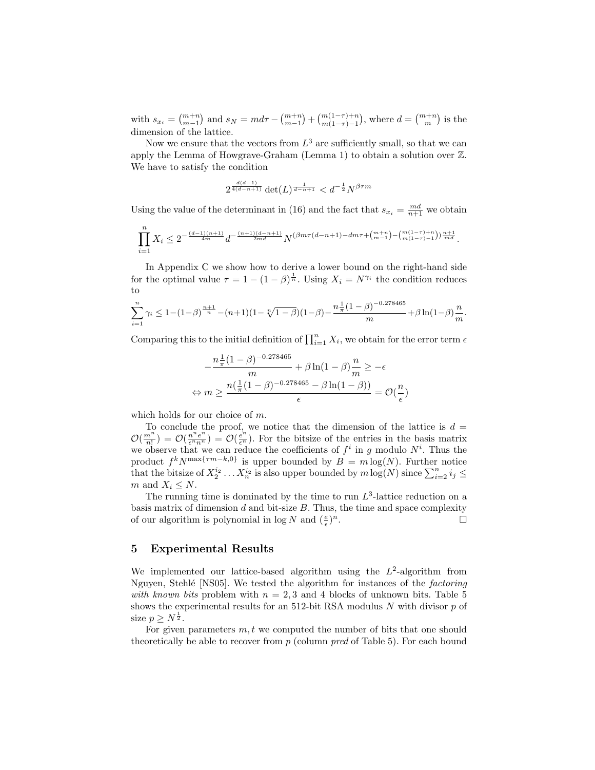with  $s_{x_i} = \binom{m+n}{m-1}$  and  $s_N = md\tau - \binom{m+n}{m-1} + \binom{m(1-\tau)+n}{m(1-\tau)-1}$ , where  $d = \binom{m+n}{m}$  is the dimension of the lattice.

Now we ensure that the vectors from  $L^3$  are sufficiently small, so that we can apply the Lemma of Howgrave-Graham (Lemma 1) to obtain a solution over Z. We have to satisfy the condition

$$
2^{\frac{d(d-1)}{4(d-n+1)}} \det(L)^{\frac{1}{d-n+1}} < d^{-\frac{1}{2}} N^{\beta \tau m}
$$

Using the value of the determinant in (16) and the fact that  $s_{x_i} = \frac{md}{n+1}$  we obtain

$$
\prod_{i=1}^n X_i \leq 2^{-\frac{(d-1)(n+1)}{4m}} d^{-\frac{(n+1)(d-n+1)}{2md}} N^{(\beta m \tau (d-n+1) - dm \tau + \binom{m+n}{m-1} - \binom{m(1-\tau)+n}{m(1-\tau)-1})\frac{n+1}{md}}.
$$

In Appendix C we show how to derive a lower bound on the right-hand side for the optimal value  $\tau = 1 - (1 - \beta)^{\frac{1}{n}}$ . Using  $X_i = N^{\gamma_i}$  the condition reduces to

$$
\sum_{i=1}^{n} \gamma_i \le 1 - (1 - \beta)^{\frac{n+1}{n}} - (n+1)(1 - \sqrt[n]{1 - \beta})(1 - \beta) - \frac{n\frac{1}{\pi}(1 - \beta)^{-0.278465}}{m} + \beta \ln(1 - \beta) \frac{n}{m}.
$$

Comparing this to the initial definition of  $\prod_{i=1}^{n} X_i$ , we obtain for the error term  $\epsilon$ 

$$
-\frac{n\frac{1}{\pi}(1-\beta)^{-0.278465}}{m} + \beta \ln(1-\beta)\frac{n}{m} \ge -\epsilon
$$
  

$$
\Leftrightarrow m \ge \frac{n(\frac{1}{\pi}(1-\beta)^{-0.278465} - \beta \ln(1-\beta))}{\epsilon} = \mathcal{O}(\frac{n}{\epsilon})
$$

which holds for our choice of m.

To conclude the proof, we notice that the dimension of the lattice is  $d =$  $\mathcal{O}(\frac{m^n}{n!}) = \mathcal{O}(\frac{e^n}{\epsilon^n n^n}) = \mathcal{O}(\frac{e^n}{\epsilon^n}).$  For the bitsize of the entries in the basis matrix we observe that we can reduce the coefficients of  $f^i$  in g modulo  $N^i$ . Thus the product  $f^k N^{\max\{ \tau m-k,0\}}$  is upper bounded by  $B = m \log(N)$ . Further notice that the bitsize of  $X_2^{i_2} \ldots X_n^{i_2}$  is also upper bounded by  $m \log(N)$  since  $\sum_{i=2}^n i_j \leq$ m and  $X_i \leq N$ .

The running time is dominated by the time to run  $L^3$ -lattice reduction on a basis matrix of dimension  $d$  and bit-size  $B$ . Thus, the time and space complexity of our algorithm is polynomial in  $\log N$  and  $(\frac{e}{\epsilon})$  $\overline{\phantom{a}}$ .

#### 5 Experimental Results

We implemented our lattice-based algorithm using the  $L^2$ -algorithm from Nguyen, Stehlé [NS05]. We tested the algorithm for instances of the *factoring* with known bits problem with  $n = 2, 3$  and 4 blocks of unknown bits. Table 5 shows the experimental results for an 512-bit RSA modulus  $N$  with divisor  $p$  of size  $p \geq N^{\frac{1}{2}}$ .

For given parameters  $m, t$  we computed the number of bits that one should theoretically be able to recover from  $p$  (column *pred* of Table 5). For each bound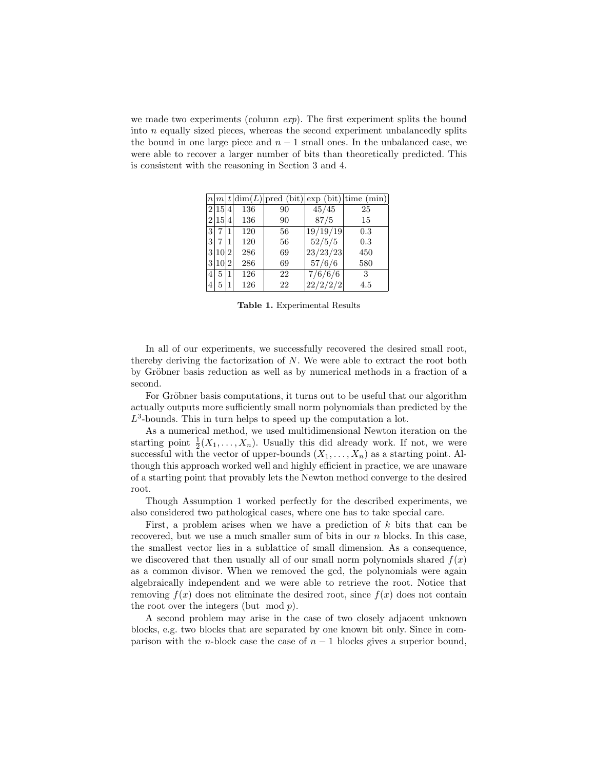we made two experiments (column  $exp$ ). The first experiment splits the bound into n equally sized pieces, whereas the second experiment unbalancedly splits the bound in one large piece and  $n-1$  small ones. In the unbalanced case, we were able to recover a larger number of bits than theoretically predicted. This is consistent with the reasoning in Section 3 and 4.

|                |        |    |     |    |                  | $n m t dim(L) $ pred (bit) exp (bit) time (min) |
|----------------|--------|----|-----|----|------------------|-------------------------------------------------|
|                | 2 15 4 |    | 136 | 90 | 45/45            | 25                                              |
|                | 2 15 4 |    | 136 | 90 | 87/5             | 15                                              |
| $\overline{3}$ |        |    | 120 | 56 | 19/19/19         | 0.3                                             |
| 3              | 7      |    | 120 | 56 | 52/5/5           | 0.3                                             |
|                | 3 10 2 |    | 286 | 69 | 23/23/23         | 450                                             |
|                | 3 10   | 12 | 286 | 69 | 57/6/6           | 580                                             |
| 4              | 5      | 1  | 126 | 22 | $\sqrt{7/6}/6/6$ | 3                                               |
| 4              | 5      |    | 126 | 22 | 22/2/2/2         | 4.5                                             |

Table 1. Experimental Results

In all of our experiments, we successfully recovered the desired small root, thereby deriving the factorization of N. We were able to extract the root both by Gröbner basis reduction as well as by numerical methods in a fraction of a second.

For Gröbner basis computations, it turns out to be useful that our algorithm actually outputs more sufficiently small norm polynomials than predicted by the  $L^3$ -bounds. This in turn helps to speed up the computation a lot.

As a numerical method, we used multidimensional Newton iteration on the starting point  $\frac{1}{2}(X_1,\ldots,X_n)$ . Usually this did already work. If not, we were successful with the vector of upper-bounds  $(X_1, \ldots, X_n)$  as a starting point. Although this approach worked well and highly efficient in practice, we are unaware of a starting point that provably lets the Newton method converge to the desired root.

Though Assumption 1 worked perfectly for the described experiments, we also considered two pathological cases, where one has to take special care.

First, a problem arises when we have a prediction of  $k$  bits that can be recovered, but we use a much smaller sum of bits in our  $n$  blocks. In this case, the smallest vector lies in a sublattice of small dimension. As a consequence, we discovered that then usually all of our small norm polynomials shared  $f(x)$ as a common divisor. When we removed the gcd, the polynomials were again algebraically independent and we were able to retrieve the root. Notice that removing  $f(x)$  does not eliminate the desired root, since  $f(x)$  does not contain the root over the integers (but  $mod p$ ).

A second problem may arise in the case of two closely adjacent unknown blocks, e.g. two blocks that are separated by one known bit only. Since in comparison with the *n*-block case the case of  $n - 1$  blocks gives a superior bound,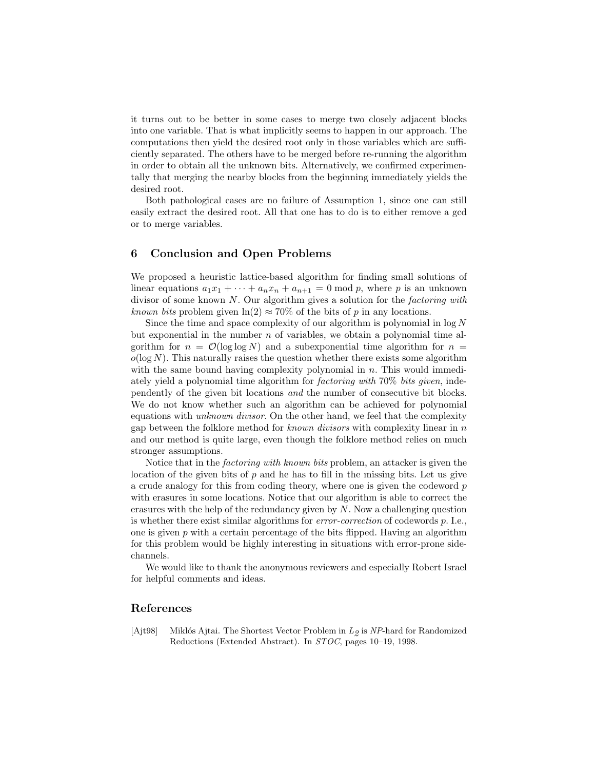it turns out to be better in some cases to merge two closely adjacent blocks into one variable. That is what implicitly seems to happen in our approach. The computations then yield the desired root only in those variables which are sufficiently separated. The others have to be merged before re-running the algorithm in order to obtain all the unknown bits. Alternatively, we confirmed experimentally that merging the nearby blocks from the beginning immediately yields the desired root.

Both pathological cases are no failure of Assumption 1, since one can still easily extract the desired root. All that one has to do is to either remove a gcd or to merge variables.

## 6 Conclusion and Open Problems

We proposed a heuristic lattice-based algorithm for finding small solutions of linear equations  $a_1x_1 + \cdots + a_nx_n + a_{n+1} = 0 \text{ mod } p$ , where p is an unknown divisor of some known N. Our algorithm gives a solution for the factoring with known bits problem given  $ln(2) \approx 70\%$  of the bits of p in any locations.

Since the time and space complexity of our algorithm is polynomial in  $log N$ but exponential in the number  $n$  of variables, we obtain a polynomial time algorithm for  $n = \mathcal{O}(\log \log N)$  and a subexponential time algorithm for  $n =$  $o(\log N)$ . This naturally raises the question whether there exists some algorithm with the same bound having complexity polynomial in  $n$ . This would immediately yield a polynomial time algorithm for factoring with 70% bits given, independently of the given bit locations and the number of consecutive bit blocks. We do not know whether such an algorithm can be achieved for polynomial equations with unknown divisor. On the other hand, we feel that the complexity gap between the folklore method for known divisors with complexity linear in  $n$ and our method is quite large, even though the folklore method relies on much stronger assumptions.

Notice that in the factoring with known bits problem, an attacker is given the location of the given bits of  $p$  and he has to fill in the missing bits. Let us give a crude analogy for this from coding theory, where one is given the codeword p with erasures in some locations. Notice that our algorithm is able to correct the erasures with the help of the redundancy given by  $N$ . Now a challenging question is whether there exist similar algorithms for error-correction of codewords p. I.e., one is given  $p$  with a certain percentage of the bits flipped. Having an algorithm for this problem would be highly interesting in situations with error-prone sidechannels.

We would like to thank the anonymous reviewers and especially Robert Israel for helpful comments and ideas.

## References

[Ajt98] Miklós Ajtai. The Shortest Vector Problem in  $L_2$  is NP-hard for Randomized Reductions (Extended Abstract). In STOC, pages 10–19, 1998.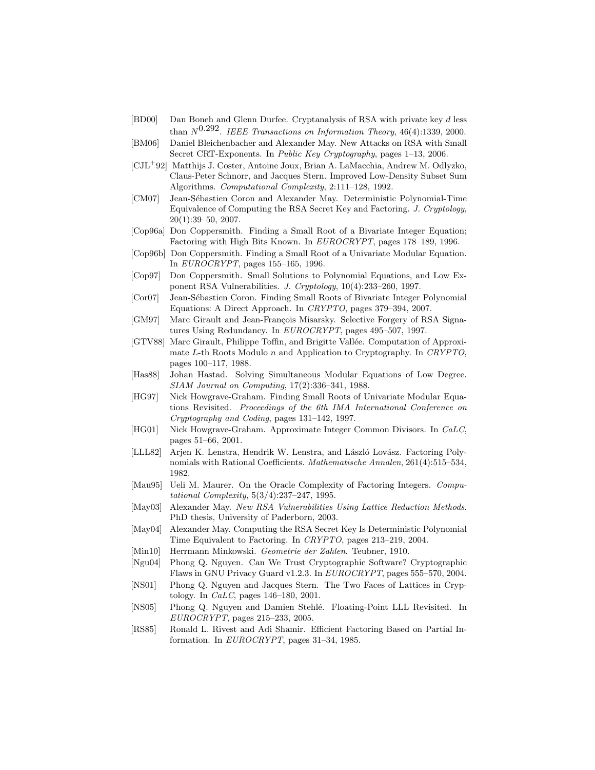- [BD00] Dan Boneh and Glenn Durfee. Cryptanalysis of RSA with private key d less than  $N^{0.292}$ . IEEE Transactions on Information Theory, 46(4):1339, 2000.
- [BM06] Daniel Bleichenbacher and Alexander May. New Attacks on RSA with Small Secret CRT-Exponents. In Public Key Cryptography, pages 1-13, 2006.
- [CJL<sup>+</sup>92] Matthijs J. Coster, Antoine Joux, Brian A. LaMacchia, Andrew M. Odlyzko, Claus-Peter Schnorr, and Jacques Stern. Improved Low-Density Subset Sum Algorithms. Computational Complexity, 2:111–128, 1992.
- [CM07] Jean-Sébastien Coron and Alexander May. Deterministic Polynomial-Time Equivalence of Computing the RSA Secret Key and Factoring. J. Cryptology,  $20(1):39-50, 2007.$
- [Cop96a] Don Coppersmith. Finding a Small Root of a Bivariate Integer Equation; Factoring with High Bits Known. In EUROCRYPT, pages 178–189, 1996.
- [Cop96b] Don Coppersmith. Finding a Small Root of a Univariate Modular Equation. In EUROCRYPT, pages 155–165, 1996.
- [Cop97] Don Coppersmith. Small Solutions to Polynomial Equations, and Low Exponent RSA Vulnerabilities. J. Cryptology, 10(4):233–260, 1997.
- [Cor07] Jean-Sébastien Coron. Finding Small Roots of Bivariate Integer Polynomial Equations: A Direct Approach. In CRYPTO, pages 379–394, 2007.
- [GM97] Marc Girault and Jean-François Misarsky. Selective Forgery of RSA Signatures Using Redundancy. In EUROCRYPT, pages 495–507, 1997.
- [GTV88] Marc Girault, Philippe Toffin, and Brigitte Vallée. Computation of Approximate L-th Roots Modulo n and Application to Cryptography. In CRYPTO, pages 100–117, 1988.
- [Has88] Johan Hastad. Solving Simultaneous Modular Equations of Low Degree. SIAM Journal on Computing, 17(2):336–341, 1988.
- [HG97] Nick Howgrave-Graham. Finding Small Roots of Univariate Modular Equations Revisited. Proceedings of the 6th IMA International Conference on Cryptography and Coding, pages 131–142, 1997.
- [HG01] Nick Howgrave-Graham. Approximate Integer Common Divisors. In CaLC, pages 51–66, 2001.
- [LLL82] Arjen K. Lenstra, Hendrik W. Lenstra, and László Lovász. Factoring Polynomials with Rational Coefficients. Mathematische Annalen, 261(4):515–534, 1982.
- [Mau95] Ueli M. Maurer. On the Oracle Complexity of Factoring Integers. Computational Complexity, 5(3/4):237–247, 1995.
- [May03] Alexander May. New RSA Vulnerabilities Using Lattice Reduction Methods. PhD thesis, University of Paderborn, 2003.
- [May04] Alexander May. Computing the RSA Secret Key Is Deterministic Polynomial Time Equivalent to Factoring. In CRYPTO, pages 213–219, 2004.
- [Min10] Herrmann Minkowski. Geometrie der Zahlen. Teubner, 1910.
- [Ngu04] Phong Q. Nguyen. Can We Trust Cryptographic Software? Cryptographic Flaws in GNU Privacy Guard v1.2.3. In EUROCRYPT, pages 555–570, 2004.
- [NS01] Phong Q. Nguyen and Jacques Stern. The Two Faces of Lattices in Cryptology. In CaLC, pages 146–180, 2001.
- [NS05] Phong Q. Nguyen and Damien Stehlé. Floating-Point LLL Revisited. In EUROCRYPT, pages 215–233, 2005.
- [RS85] Ronald L. Rivest and Adi Shamir. Efficient Factoring Based on Partial Information. In EUROCRYPT, pages 31–34, 1985.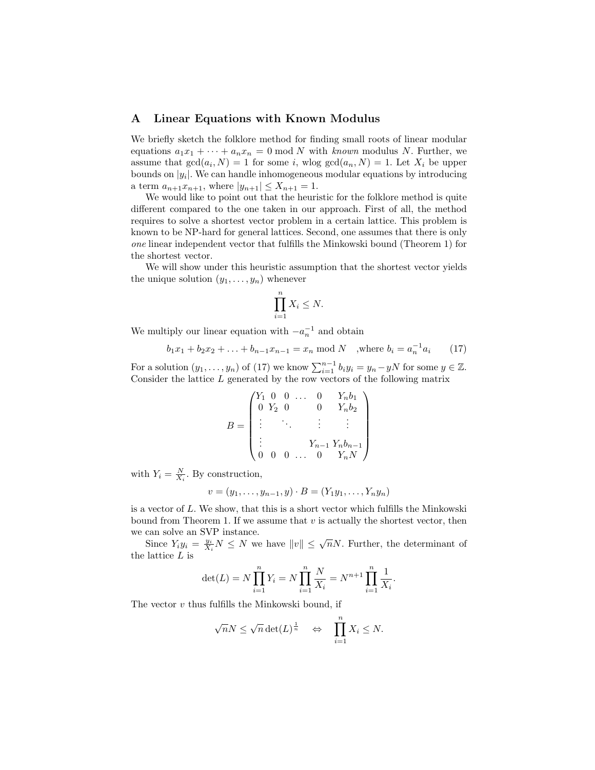#### A Linear Equations with Known Modulus

We briefly sketch the folklore method for finding small roots of linear modular equations  $a_1x_1 + \cdots + a_nx_n = 0$  mod N with known modulus N. Further, we assume that  $gcd(a_i, N) = 1$  for some i, wlog  $gcd(a_n, N) = 1$ . Let  $X_i$  be upper bounds on  $|y_i|$ . We can handle inhomogeneous modular equations by introducing a term  $a_{n+1}x_{n+1}$ , where  $|y_{n+1}| \leq X_{n+1} = 1$ .

We would like to point out that the heuristic for the folklore method is quite different compared to the one taken in our approach. First of all, the method requires to solve a shortest vector problem in a certain lattice. This problem is known to be NP-hard for general lattices. Second, one assumes that there is only one linear independent vector that fulfills the Minkowski bound (Theorem 1) for the shortest vector.

We will show under this heuristic assumption that the shortest vector yields the unique solution  $(y_1, \ldots, y_n)$  whenever

$$
\prod_{i=1}^{n} X_i \leq N.
$$

We multiply our linear equation with  $-a_n^{-1}$  and obtain

$$
b_1x_1 + b_2x_2 + \ldots + b_{n-1}x_{n-1} = x_n \mod N
$$
, where  $b_i = a_n^{-1}a_i$  (17)

For a solution  $(y_1, \ldots, y_n)$  of (17) we know  $\sum_{i=1}^{n-1} b_i y_i = y_n - yN$  for some  $y \in \mathbb{Z}$ . Consider the lattice  $L$  generated by the row vectors of the following matrix

$$
B = \begin{pmatrix} Y_1 & 0 & 0 & \dots & 0 & Y_n b_1 \\ 0 & Y_2 & 0 & 0 & Y_n b_2 \\ \vdots & \ddots & \vdots & \vdots & \vdots \\ \vdots & & & & Y_{n-1} Y_n b_{n-1} \\ 0 & 0 & 0 & \dots & 0 & Y_n N \end{pmatrix}
$$

with  $Y_i = \frac{N}{X_i}$ . By construction,

$$
v = (y_1, \dots, y_{n-1}, y) \cdot B = (Y_1 y_1, \dots, Y_n y_n)
$$

is a vector of L. We show, that this is a short vector which fulfills the Minkowski bound from Theorem 1. If we assume that  $v$  is actually the shortest vector, then we can solve an SVP instance.

Since  $Y_i y_i = \frac{y_i}{X_i} N \le N$  we have  $||v|| \le \sqrt{n} N$ . Further, the determinant of the lattice  $L$  is

$$
\det(L) = N \prod_{i=1}^{n} Y_i = N \prod_{i=1}^{n} \frac{N}{X_i} = N^{n+1} \prod_{i=1}^{n} \frac{1}{X_i}.
$$

The vector  $v$  thus fulfills the Minkowski bound, if

$$
\sqrt{n}N \le \sqrt{n} \det(L)^{\frac{1}{n}} \quad \Leftrightarrow \quad \prod_{i=1}^{n} X_i \le N.
$$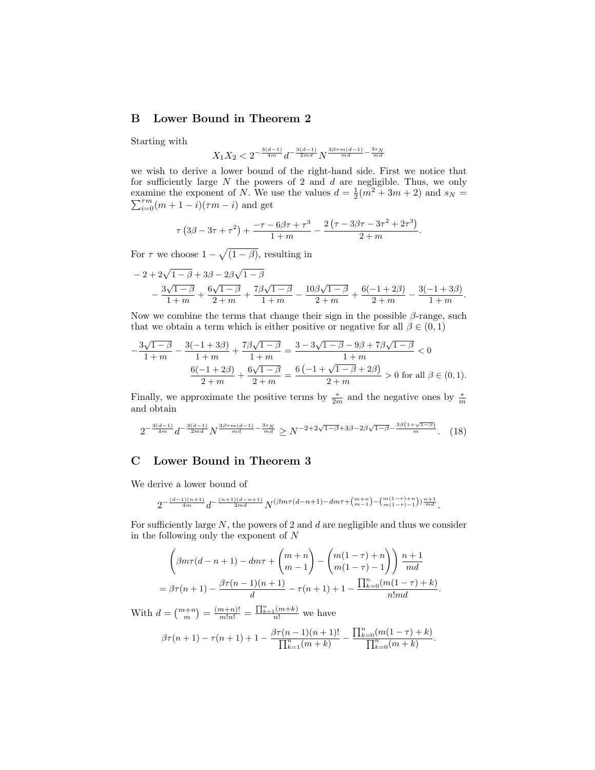## B Lower Bound in Theorem 2

Starting with

$$
X_1X_2<2^{-\frac{3(d-1)}{4m}}d^{-\frac{3(d-1)}{2md}}N^{\frac{3\beta\tau m(d-1)}{md}-\frac{3s_N}{md}}
$$

we wish to derive a lower bound of the right-hand side. First we notice that for sufficiently large  $N$  the powers of 2 and  $d$  are negligible. Thus, we only examine the exponent of N. We use the values  $d = \frac{1}{2}(m^2 + 3m + 2)$  and  $s_N =$  $\sum_{i=0}^{7m} (m+1-i)(\tau m-i)$  and get

$$
\tau (3\beta - 3\tau + \tau^2) + \frac{-\tau - 6\beta\tau + \tau^3}{1 + m} - \frac{2(\tau - 3\beta\tau - 3\tau^2 + 2\tau^3)}{2 + m}.
$$

For  $\tau$  we choose  $1 - \sqrt{(1 - \beta)}$ , resulting in

$$
-2+2\sqrt{1-\beta}+3\beta-2\beta\sqrt{1-\beta}
$$
  

$$
-\frac{3\sqrt{1-\beta}}{1+m}+\frac{6\sqrt{1-\beta}}{2+m}+\frac{7\beta\sqrt{1-\beta}}{1+m}-\frac{10\beta\sqrt{1-\beta}}{2+m}+\frac{6(-1+2\beta)}{2+m}-\frac{3(-1+3\beta)}{1+m}
$$

.

Now we combine the terms that change their sign in the possible  $\beta$ -range, such that we obtain a term which is either positive or negative for all  $\beta \in (0,1)$ 

$$
-\frac{3\sqrt{1-\beta}}{1+m} - \frac{3(-1+3\beta)}{1+m} + \frac{7\beta\sqrt{1-\beta}}{1+m} = \frac{3-3\sqrt{1-\beta}-9\beta+7\beta\sqrt{1-\beta}}{1+m} < 0
$$
  

$$
\frac{6(-1+2\beta)}{2+m} + \frac{6\sqrt{1-\beta}}{2+m} = \frac{6(-1+\sqrt{1-\beta}+2\beta)}{2+m} > 0 \text{ for all } \beta \in (0,1).
$$

Finally, we approximate the positive terms by  $\frac{*}{2m}$  and the negative ones by  $\frac{*}{m}$ and obtain

$$
2^{-\frac{3(d-1)}{4m}}d^{-\frac{3(d-1)}{2md}}N^{\frac{3\beta\tau m(d-1)}{md}-\frac{3s_N}{md}} \ge N^{-2+2\sqrt{1-\beta}+3\beta-2\beta\sqrt{1-\beta}-\frac{3\beta(1+\sqrt{1-\beta})}{m}}.\tag{18}
$$

## C Lower Bound in Theorem 3

We derive a lower bound of

$$
2^{-\frac{(d-1)(n+1)}{4m}}d^{-\frac{(n+1)(d-n+1)}{2md}}N^{(\beta m\tau(d-n+1)-dm\tau +\binom{m+n}{m-1}-\binom{m(1-\tau)+n}{m(1-\tau)-1})\frac{n+1}{md}}.
$$

For sufficiently large  $N$ , the powers of 2 and  $d$  are negligible and thus we consider in the following only the exponent of N

$$
\left(\beta m\tau(d-n+1) - dm\tau + \binom{m+n}{m-1} - \binom{m(1-\tau)+n}{m(1-\tau)-1}\right) \frac{n+1}{md}
$$
  
=  $\beta\tau(n+1) - \frac{\beta\tau(n-1)(n+1)}{d} - \tau(n+1) + 1 - \frac{\prod_{k=0}^{n}(m(1-\tau)+k)}{n!md}.$ 

With  $d = \binom{m+n}{m} = \frac{(m+n)!}{m!n!} = \frac{\prod_{k=1}^{n} (m+k)}{n!}$  we have

$$
\beta\tau(n+1)-\tau(n+1)+1-\frac{\beta\tau(n-1)(n+1)!}{\prod_{k=1}^n(m+k)}-\frac{\prod_{k=0}^n(m(1-\tau)+k)}{\prod_{k=0}^n(m+k)}.
$$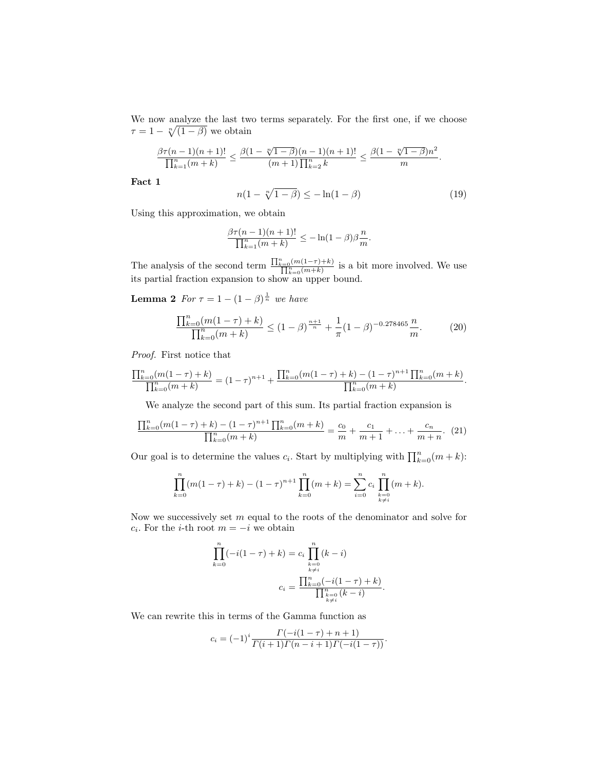We now analyze the last two terms separately. For the first one, if we choose  $\tau = 1 - \sqrt[n]{(1-\beta)}$  we obtain

$$
\frac{\beta \tau(n-1)(n+1)!}{\prod_{k=1}^n (m+k)} \leq \frac{\beta(1-\sqrt[n]{1-\beta})(n-1)(n+1)!}{(m+1)\prod_{k=2}^n k} \leq \frac{\beta(1-\sqrt[n]{1-\beta})n^2}{m}.
$$

Fact 1

$$
n(1 - \sqrt[n]{1 - \beta}) \le -\ln(1 - \beta)
$$
 (19)

Using this approximation, we obtain

$$
\frac{\beta\tau(n-1)(n+1)!}{\prod_{k=1}^n(m+k)} \leq -\ln(1-\beta)\beta\frac{n}{m}.
$$

The analysis of the second term  $\frac{\prod_{k=0}^{n} (m(1-\tau)+k)}{\prod_{k=0}^{n} (m+k)}$  is a bit more involved. We use its partial fraction expansion to show an upper bound.

**Lemma 2** For  $\tau = 1 - (1 - \beta)^{\frac{1}{n}}$  we have

$$
\frac{\prod_{k=0}^{n}(m(1-\tau)+k)}{\prod_{k=0}^{n}(m+k)} \le (1-\beta)^{\frac{n+1}{n}} + \frac{1}{\pi}(1-\beta)^{-0.278465} \frac{n}{m}.\tag{20}
$$

Proof. First notice that

$$
\frac{\prod_{k=0}^{n}(m(1-\tau)+k)}{\prod_{k=0}^{n}(m+k)} = (1-\tau)^{n+1} + \frac{\prod_{k=0}^{n}(m(1-\tau)+k) - (1-\tau)^{n+1}\prod_{k=0}^{n}(m+k)}{\prod_{k=0}^{n}(m+k)}.
$$

We analyze the second part of this sum. Its partial fraction expansion is

$$
\frac{\prod_{k=0}^{n}(m(1-\tau)+k) - (1-\tau)^{n+1}\prod_{k=0}^{n}(m+k)}{\prod_{k=0}^{n}(m+k)} = \frac{c_0}{m} + \frac{c_1}{m+1} + \ldots + \frac{c_n}{m+n}.
$$
 (21)

Our goal is to determine the values  $c_i$ . Start by multiplying with  $\prod_{k=0}^n (m + k)$ :

$$
\prod_{k=0}^{n} (m(1-\tau) + k) - (1-\tau)^{n+1} \prod_{k=0}^{n} (m+k) = \sum_{i=0}^{n} c_i \prod_{\substack{k=0 \ k \neq i}}^{n} (m+k).
$$

Now we successively set  $m$  equal to the roots of the denominator and solve for  $c_i$ . For the *i*-th root  $m = -i$  we obtain

$$
\prod_{k=0}^{n}(-i(1-\tau) + k) = c_i \prod_{\substack{k=0 \ k \neq i}}^{n} (k - i)
$$

$$
c_i = \frac{\prod_{k=0}^{n} (-i(1-\tau) + k)}{\prod_{\substack{k=0 \ k \neq i}}^{n} (k - i)}
$$

.

We can rewrite this in terms of the Gamma function as

$$
c_i = (-1)^i \frac{\Gamma(-i(1-\tau) + n + 1)}{\Gamma(i+1)\Gamma(n-i+1)\Gamma(-i(1-\tau))}.
$$